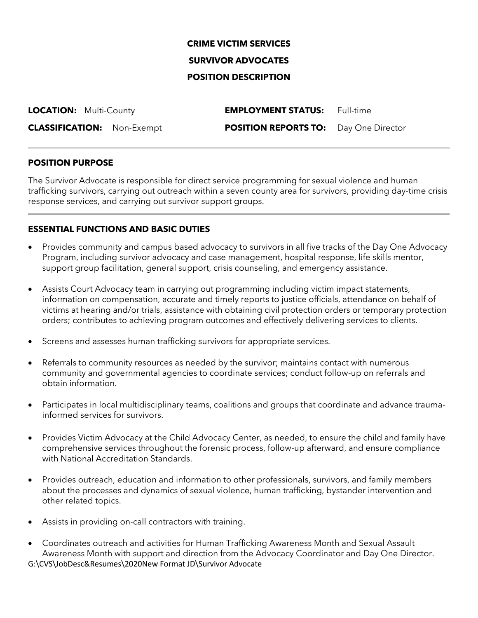# **CRIME VICTIM SERVICES SURVIVOR ADVOCATES**

## **POSITION DESCRIPTION**

| <b>LOCATION: Multi-County</b>     | <b>EMPLOYMENT STATUS:</b>                    | Full-time |
|-----------------------------------|----------------------------------------------|-----------|
| <b>CLASSIFICATION:</b> Non-Exempt | <b>POSITION REPORTS TO:</b> Day One Director |           |

### **POSITION PURPOSE**

The Survivor Advocate is responsible for direct service programming for sexual violence and human trafficking survivors, carrying out outreach within a seven county area for survivors, providing day-time crisis response services, and carrying out survivor support groups.

### **ESSENTIAL FUNCTIONS AND BASIC DUTIES**

- Provides community and campus based advocacy to survivors in all five tracks of the Day One Advocacy Program, including survivor advocacy and case management, hospital response, life skills mentor, support group facilitation, general support, crisis counseling, and emergency assistance.
- Assists Court Advocacy team in carrying out programming including victim impact statements, information on compensation, accurate and timely reports to justice officials, attendance on behalf of victims at hearing and/or trials, assistance with obtaining civil protection orders or temporary protection orders; contributes to achieving program outcomes and effectively delivering services to clients.
- Screens and assesses human trafficking survivors for appropriate services.
- Referrals to community resources as needed by the survivor; maintains contact with numerous community and governmental agencies to coordinate services; conduct follow-up on referrals and obtain information.
- Participates in local multidisciplinary teams, coalitions and groups that coordinate and advance traumainformed services for survivors.
- Provides Victim Advocacy at the Child Advocacy Center, as needed, to ensure the child and family have comprehensive services throughout the forensic process, follow-up afterward, and ensure compliance with National Accreditation Standards.
- Provides outreach, education and information to other professionals, survivors, and family members about the processes and dynamics of sexual violence, human trafficking, bystander intervention and other related topics.
- Assists in providing on-call contractors with training.
- G:\CVS\JobDesc&Resumes\2020New Format JD\Survivor Advocate • Coordinates outreach and activities for Human Trafficking Awareness Month and Sexual Assault Awareness Month with support and direction from the Advocacy Coordinator and Day One Director.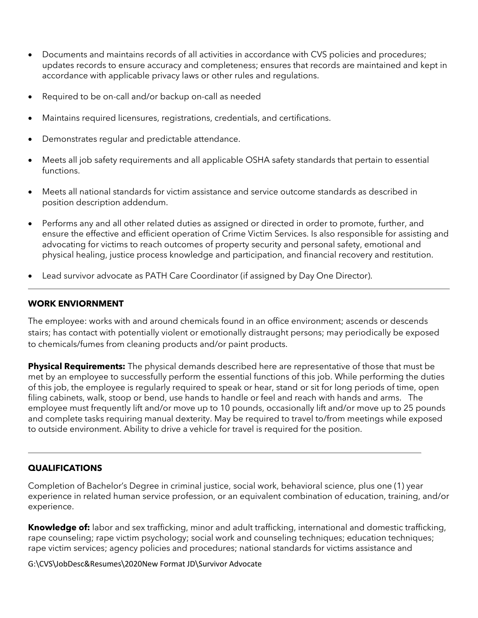- Documents and maintains records of all activities in accordance with CVS policies and procedures; updates records to ensure accuracy and completeness; ensures that records are maintained and kept in accordance with applicable privacy laws or other rules and regulations.
- Required to be on-call and/or backup on-call as needed
- Maintains required licensures, registrations, credentials, and certifications.
- Demonstrates regular and predictable attendance.
- Meets all job safety requirements and all applicable OSHA safety standards that pertain to essential functions.
- Meets all national standards for victim assistance and service outcome standards as described in position description addendum.
- Performs any and all other related duties as assigned or directed in order to promote, further, and ensure the effective and efficient operation of Crime Victim Services. Is also responsible for assisting and advocating for victims to reach outcomes of property security and personal safety, emotional and physical healing, justice process knowledge and participation, and financial recovery and restitution.
- Lead survivor advocate as PATH Care Coordinator (if assigned by Day One Director).

#### **WORK ENVIORNMENT**

The employee: works with and around chemicals found in an office environment; ascends or descends stairs; has contact with potentially violent or emotionally distraught persons; may periodically be exposed to chemicals/fumes from cleaning products and/or paint products.

**Physical Requirements:** The physical demands described here are representative of those that must be met by an employee to successfully perform the essential functions of this job. While performing the duties of this job, the employee is regularly required to speak or hear, stand or sit for long periods of time, open filing cabinets, walk, stoop or bend, use hands to handle or feel and reach with hands and arms. The employee must frequently lift and/or move up to 10 pounds, occasionally lift and/or move up to 25 pounds and complete tasks requiring manual dexterity. May be required to travel to/from meetings while exposed to outside environment. Ability to drive a vehicle for travel is required for the position.

### **QUALIFICATIONS**

Completion of Bachelor's Degree in criminal justice, social work, behavioral science, plus one (1) year experience in related human service profession, or an equivalent combination of education, training, and/or experience.

**Knowledge of:** labor and sex trafficking, minor and adult trafficking, international and domestic trafficking, rape counseling; rape victim psychology; social work and counseling techniques; education techniques; rape victim services; agency policies and procedures; national standards for victims assistance and

G:\CVS\JobDesc&Resumes\2020New Format JD\Survivor Advocate